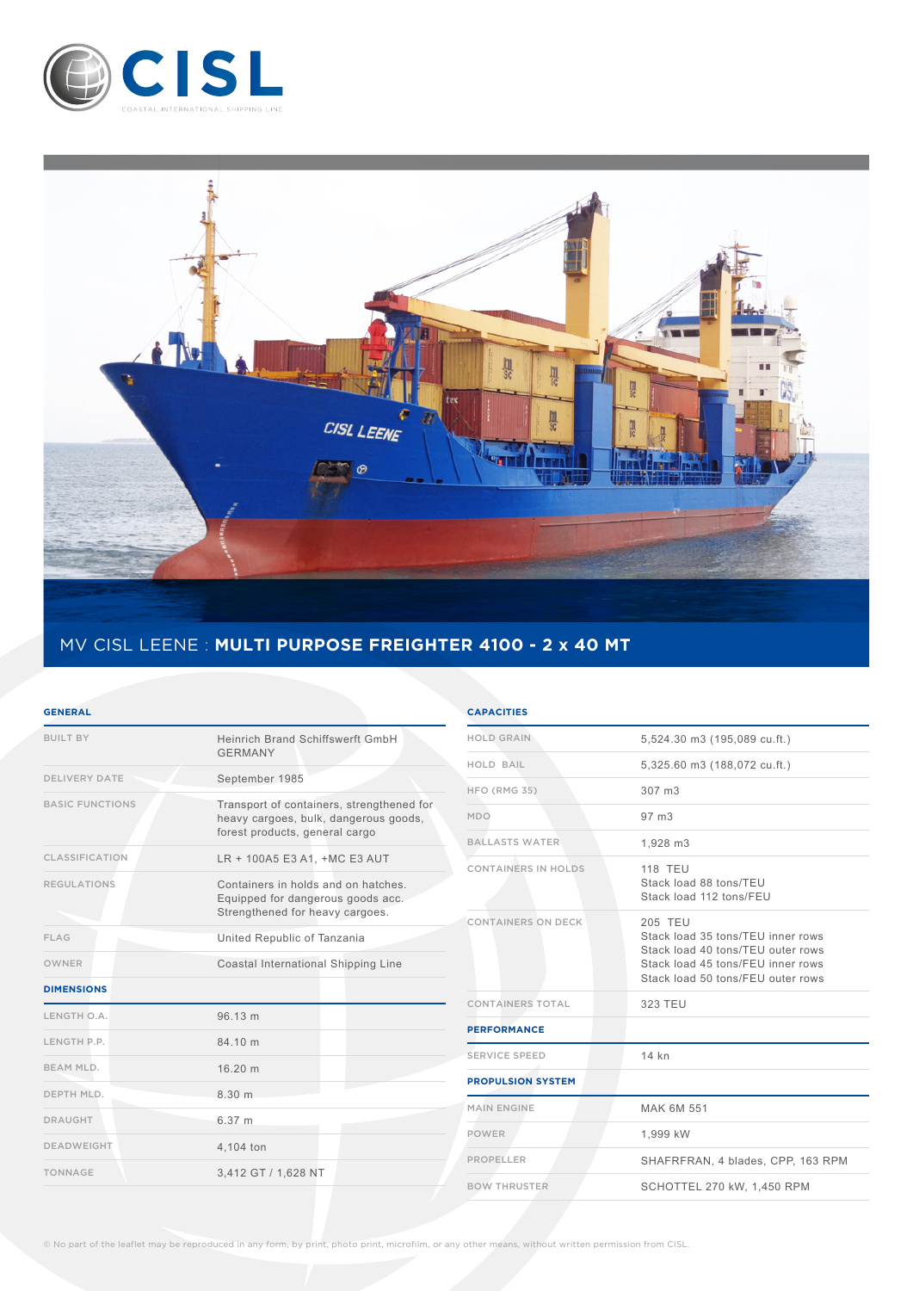



# MV CISL LEENE : **MULTI PURPOSE FREIGHTER 4100 - 2 x 40 MT**

#### **GENERAL**

| <b>BUILT BY</b>        | Heinrich Brand Schiffswerft GmbH<br><b>GERMANY</b>                                                                   |
|------------------------|----------------------------------------------------------------------------------------------------------------------|
| <b>DELIVERY DATE</b>   | September 1985                                                                                                       |
| <b>BASIC FUNCTIONS</b> | Transport of containers, strengthened for<br>heavy cargoes, bulk, dangerous goods,<br>forest products, general cargo |
| <b>CLASSIFICATION</b>  | LR + 100A5 E3 A1, +MC E3 AUT                                                                                         |
| <b>REGULATIONS</b>     | Containers in holds and on hatches.<br>Equipped for dangerous goods acc.<br>Strengthened for heavy cargoes.          |
| FLAG                   | United Republic of Tanzania                                                                                          |
| OWNER                  | Coastal International Shipping Line                                                                                  |
| <b>DIMENSIONS</b>      |                                                                                                                      |
| LENGTH O.A.            | 96.13 m                                                                                                              |
| LENGTH P.P.            | 84 10 m                                                                                                              |
| BEAM MLD.              | 16.20 m                                                                                                              |
| DEPTH MLD.             | 8.30 m                                                                                                               |
| <b>DRAUGHT</b>         | 6.37 m                                                                                                               |
| <b>DEADWEIGHT</b>      | 4,104 ton                                                                                                            |
| <b>TONNAGE</b>         | 3,412 GT / 1,628 NT                                                                                                  |

### **CAPACITIES**

| <b>HOLD GRAIN</b>         | 5,524.30 m3 (195,089 cu.ft.)                                                                                                                                |
|---------------------------|-------------------------------------------------------------------------------------------------------------------------------------------------------------|
| <b>HOLD BAIL</b>          | 5,325.60 m3 (188,072 cu.ft.)                                                                                                                                |
| HFO (RMG 35)              | 307 m3                                                                                                                                                      |
| MDO                       | 97 m3                                                                                                                                                       |
| <b>BALLASTS WATER</b>     | 1,928 m3                                                                                                                                                    |
| CONTAINERS IN HOLDS       | <b>118 TEU</b><br>Stack load 88 tons/TEU<br>Stack load 112 tons/FEU                                                                                         |
| <b>CONTAINERS ON DECK</b> | 205 TEU<br>Stack load 35 tons/TEU inner rows<br>Stack load 40 tons/TEU outer rows<br>Stack load 45 tons/FEU inner rows<br>Stack load 50 tons/FEU outer rows |
| <b>CONTAINERS TOTAL</b>   | 323 TEU                                                                                                                                                     |
| <b>PERFORMANCE</b>        |                                                                                                                                                             |
| <b>SERVICE SPEED</b>      | 14 kn                                                                                                                                                       |
| <b>PROPULSION SYSTEM</b>  |                                                                                                                                                             |
| <b>MAIN ENGINE</b>        | MAK 6M 551                                                                                                                                                  |
| <b>POWER</b>              | 1,999 kW                                                                                                                                                    |
| <b>PROPELLER</b>          | SHAFRFRAN, 4 blades, CPP, 163 RPM                                                                                                                           |
| <b>BOW THRUSTER</b>       | SCHOTTEL 270 kW, 1,450 RPM                                                                                                                                  |
|                           |                                                                                                                                                             |

© No part of the leaflet may be reproduced in any form, by print, photo print, microfilm, or any other means, without written permission from CISL.